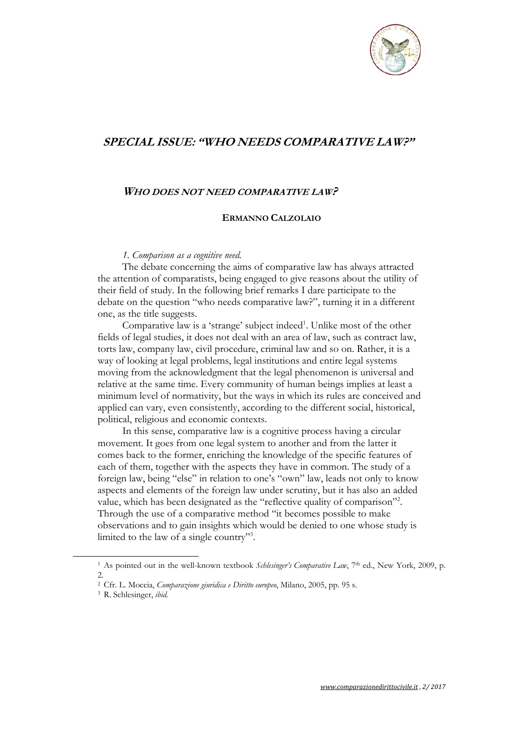

# **SPECIAL ISSUE: "WHO NEEDS COMPARATIVE LAW?"**

## **WHO DOES NOT NEED COMPARATIVE LAW?**

### **ERMANNO CALZOLAIO**

#### *1. Comparison as a cognitive need.*

The debate concerning the aims of comparative law has always attracted the attention of comparatists, being engaged to give reasons about the utility of their field of study. In the following brief remarks I dare participate to the debate on the question "who needs comparative law?", turning it in a different one, as the title suggests.

Comparative law is a 'strange' subject indeed<sup>1</sup>. Unlike most of the other fields of legal studies, it does not deal with an area of law, such as contract law, torts law, company law, civil procedure, criminal law and so on. Rather, it is a way of looking at legal problems, legal institutions and entire legal systems moving from the acknowledgment that the legal phenomenon is universal and relative at the same time. Every community of human beings implies at least a minimum level of normativity, but the ways in which its rules are conceived and applied can vary, even consistently, according to the different social, historical, political, religious and economic contexts.

In this sense, comparative law is a cognitive process having a circular movement. It goes from one legal system to another and from the latter it comes back to the former, enriching the knowledge of the specific features of each of them, together with the aspects they have in common. The study of a foreign law, being "else" in relation to one's "own" law, leads not only to know aspects and elements of the foreign law under scrutiny, but it has also an added value, which has been designated as the "reflective quality of comparison"<sup>2</sup>. Through the use of a comparative method "it becomes possible to make observations and to gain insights which would be denied to one whose study is limited to the law of a single country"3 .

<sup>1</sup> As pointed out in the well-known textbook *Schlesinger's Comparative Law*, 7th ed., New York, 2009, p. 2.

<sup>2</sup> Cfr. L. Moccia, *Comparazione giuridica e Diritto europeo*, Milano, 2005, pp. 95 s. 3 R. Schlesinger, *ibid.*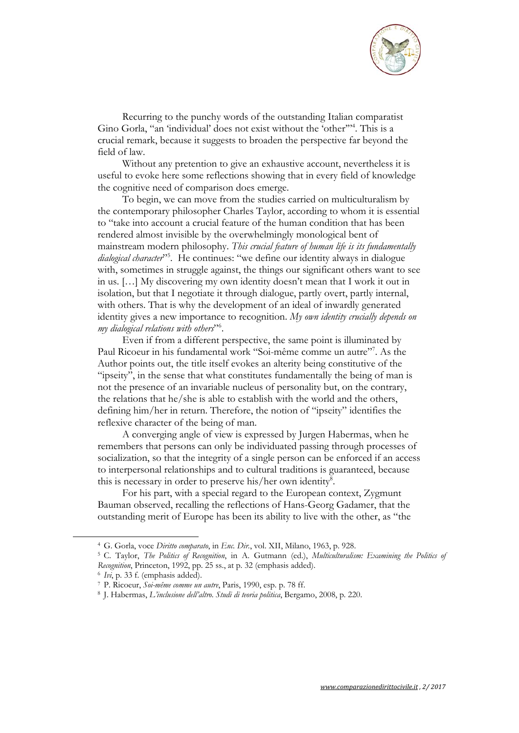

Recurring to the punchy words of the outstanding Italian comparatist Gino Gorla, "an 'individual' does not exist without the 'other'"4 . This is a crucial remark, because it suggests to broaden the perspective far beyond the field of law.

Without any pretention to give an exhaustive account, nevertheless it is useful to evoke here some reflections showing that in every field of knowledge the cognitive need of comparison does emerge.

To begin, we can move from the studies carried on multiculturalism by the contemporary philosopher Charles Taylor, according to whom it is essential to "take into account a crucial feature of the human condition that has been rendered almost invisible by the overwhelmingly monological bent of mainstream modern philosophy. *This crucial feature of human life is its fundamentally*  dialogical character<sup>15</sup>. He continues: "we define our identity always in dialogue with, sometimes in struggle against, the things our significant others want to see in us. […] My discovering my own identity doesn't mean that I work it out in isolation, but that I negotiate it through dialogue, partly overt, partly internal, with others. That is why the development of an ideal of inwardly generated identity gives a new importance to recognition. *My own identity crucially depends on my dialogical relations with others*"6 .

Even if from a different perspective, the same point is illuminated by Paul Ricoeur in his fundamental work "Soi-même comme un autre"<sup>7</sup>. As the Author points out, the title itself evokes an alterity being constitutive of the "ipseity", in the sense that what constitutes fundamentally the being of man is not the presence of an invariable nucleus of personality but, on the contrary, the relations that he/she is able to establish with the world and the others, defining him/her in return. Therefore, the notion of "ipseity" identifies the reflexive character of the being of man.

A converging angle of view is expressed by Jurgen Habermas, when he remembers that persons can only be individuated passing through processes of socialization, so that the integrity of a single person can be enforced if an access to interpersonal relationships and to cultural traditions is guaranteed, because this is necessary in order to preserve his/her own identity<sup>8</sup>.

For his part, with a special regard to the European context, Zygmunt Bauman observed, recalling the reflections of Hans-Georg Gadamer, that the outstanding merit of Europe has been its ability to live with the other, as "the

<sup>4</sup> G. Gorla, voce *Diritto comparato*, in *Enc. Dir.*, vol. XII, Milano, 1963, p. 928. 5 C. Taylor, *The Politics of Recognition*, in A. Gutmann (ed.), *Multiculturalism: Examining the Politics of*  Recognition, Princeton, 1992, pp. 25 ss., at p. 32 (emphasis added).<br>
<sup>6</sup> Ivi, p. 33 f. (emphasis added).<br>
<sup>7</sup> P. Ricoeur, *Soi-même comme un autre*, Paris, 1990, esp. p. 78 ff.<br>
<sup>8</sup> J. Habermas, *L'inclusione dell'altro.*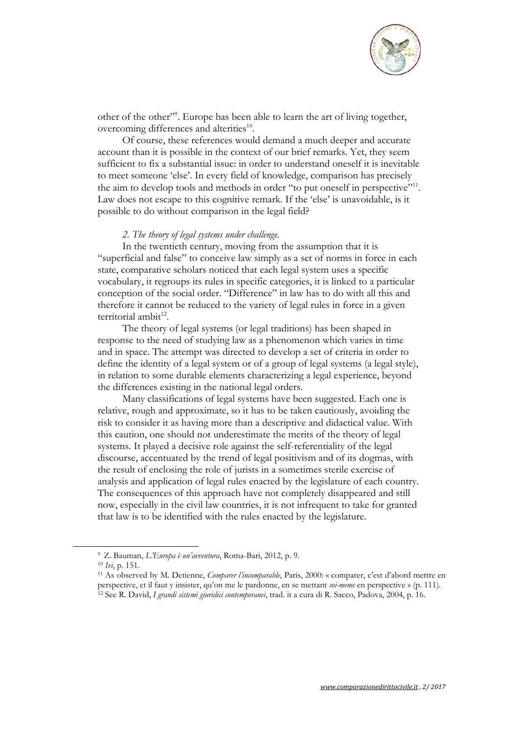

other of the other"<sup>9</sup>. Europe has been able to learn the art of living together, overcoming differences and alterities<sup>10</sup>.

Of course, these references would demand a much deeper and accurate account than it is possible in the context of our brief remarks. Yet, they seem sufficient to fix a substantial issue: in order to understand oneself it is inevitable to meet someone 'else'. In every field of knowledge, comparison has precisely the aim to develop tools and methods in order "to put oneself in perspective"<sup>11</sup>. Law does not escape to this cognitive remark. If the 'else' is unavoidable, is it possible to do without comparison in the legal field?

#### *2. The theory of legal systems under challenge.*

In the twentieth century, moving from the assumption that it is "superficial and false" to conceive law simply as a set of norms in force in each state, comparative scholars noticed that each legal system uses a specific vocabulary, it regroups its rules in specific categories, it is linked to a particular conception of the social order. "Difference" in law has to do with all this and therefore it cannot be reduced to the variety of legal rules in force in a given territorial ambit<sup>12</sup>.

The theory of legal systems (or legal traditions) has been shaped in response to the need of studying law as a phenomenon which varies in time and in space. The attempt was directed to develop a set of criteria in order to define the identity of a legal system or of a group of legal systems (a legal style), in relation to some durable elements characterizing a legal experience, beyond the differences existing in the national legal orders.

Many classifications of legal systems have been suggested. Each one is relative, rough and approximate, so it has to be taken cautiously, avoiding the risk to consider it as having more than a descriptive and didactical value. With this caution, one should not underestimate the merits of the theory of legal systems. It played a decisive role against the self-referentiality of the legal discourse, accentuated by the trend of legal positivism and of its dogmas, with the result of enclosing the role of jurists in a sometimes sterile exercise of analysis and application of legal rules enacted by the legislature of each country. The consequences of this approach have not completely disappeared and still now, especially in the civil law countries, it is not infrequent to take for granted that law is to be identified with the rules enacted by the legislature.

<sup>9</sup> Z. Bauman, *L'Europa è un'avventura*, Roma-Bari, 2012, p. 9. 10 *Ivi*, p. 151. 11 As observed by M. Detienne, *Comparer l'incomparable*, Paris, 2000: « comparer, c'est d'abord mettre en perspective, et il faut y insister, qu'on me le pardonne, en se mettant soi-meme en perspective » (p. 111).<br><sup>12</sup> See R. David, I grandi sistemi giuridici contemporanei, trad. it a cura di R. Sacco, Padova, 2004, p. 16.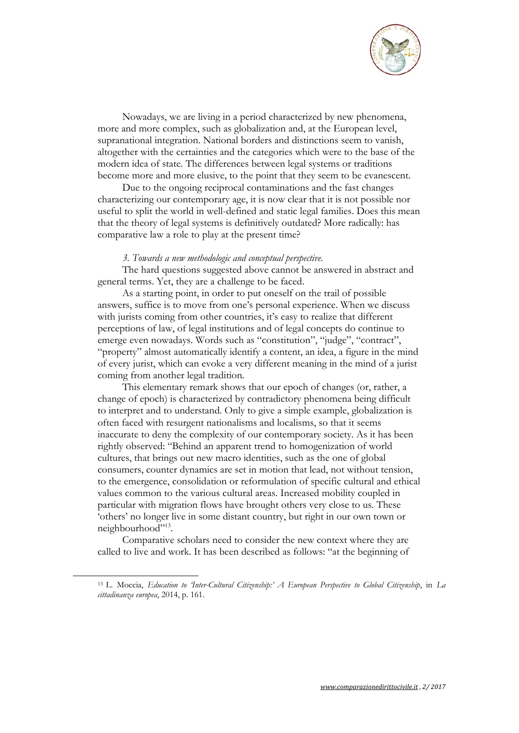

Nowadays, we are living in a period characterized by new phenomena, more and more complex, such as globalization and, at the European level, supranational integration. National borders and distinctions seem to vanish, altogether with the certainties and the categories which were to the base of the modern idea of state. The differences between legal systems or traditions become more and more elusive, to the point that they seem to be evanescent.

Due to the ongoing reciprocal contaminations and the fast changes characterizing our contemporary age, it is now clear that it is not possible nor useful to split the world in well-defined and static legal families. Does this mean that the theory of legal systems is definitively outdated? More radically: has comparative law a role to play at the present time?

#### *3. Towards a new methodologic and conceptual perspective.*

The hard questions suggested above cannot be answered in abstract and general terms. Yet, they are a challenge to be faced.

As a starting point, in order to put oneself on the trail of possible answers, suffice is to move from one's personal experience. When we discuss with jurists coming from other countries, it's easy to realize that different perceptions of law, of legal institutions and of legal concepts do continue to emerge even nowadays. Words such as "constitution", "judge", "contract", "property" almost automatically identify a content, an idea, a figure in the mind of every jurist, which can evoke a very different meaning in the mind of a jurist coming from another legal tradition.

This elementary remark shows that our epoch of changes (or, rather, a change of epoch) is characterized by contradictory phenomena being difficult to interpret and to understand. Only to give a simple example, globalization is often faced with resurgent nationalisms and localisms, so that it seems inaccurate to deny the complexity of our contemporary society. As it has been rightly observed: "Behind an apparent trend to homogenization of world cultures, that brings out new macro identities, such as the one of global consumers, counter dynamics are set in motion that lead, not without tension, to the emergence, consolidation or reformulation of specific cultural and ethical values common to the various cultural areas. Increased mobility coupled in particular with migration flows have brought others very close to us. These 'others' no longer live in some distant country, but right in our own town or neighbourhood"<sup>13</sup>.

Comparative scholars need to consider the new context where they are called to live and work. It has been described as follows: "at the beginning of

<sup>13</sup> L. Moccia, *Education to 'Inter-Cultural Citizenship:' A European Perspective to Global Citizenship*, in *La cittadinanza europea*, 2014, p. 161.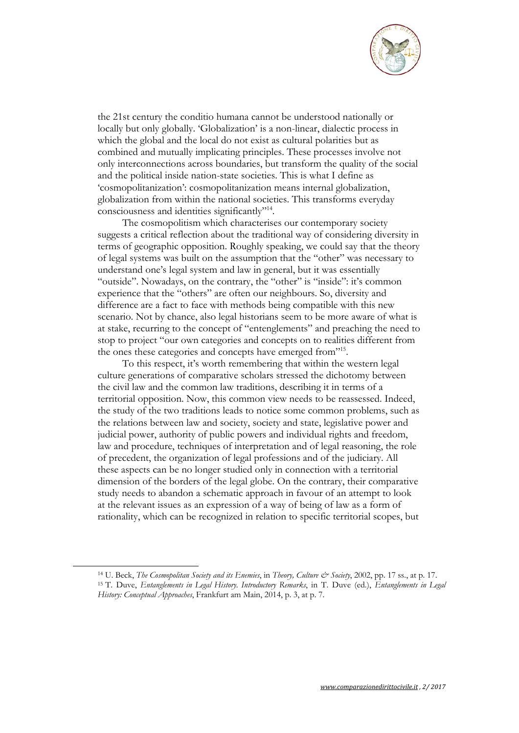

the 21st century the conditio humana cannot be understood nationally or locally but only globally. 'Globalization' is a non-linear, dialectic process in which the global and the local do not exist as cultural polarities but as combined and mutually implicating principles. These processes involve not only interconnections across boundaries, but transform the quality of the social and the political inside nation-state societies. This is what I define as 'cosmopolitanization': cosmopolitanization means internal globalization, globalization from within the national societies. This transforms everyday consciousness and identities significantly"14.

The cosmopolitism which characterises our contemporary society suggests a critical reflection about the traditional way of considering diversity in terms of geographic opposition. Roughly speaking, we could say that the theory of legal systems was built on the assumption that the "other" was necessary to understand one's legal system and law in general, but it was essentially "outside". Nowadays, on the contrary, the "other" is "inside": it's common experience that the "others" are often our neighbours. So, diversity and difference are a fact to face with methods being compatible with this new scenario. Not by chance, also legal historians seem to be more aware of what is at stake, recurring to the concept of "entenglements" and preaching the need to stop to project "our own categories and concepts on to realities different from the ones these categories and concepts have emerged from"15.

To this respect, it's worth remembering that within the western legal culture generations of comparative scholars stressed the dichotomy between the civil law and the common law traditions, describing it in terms of a territorial opposition. Now, this common view needs to be reassessed. Indeed, the study of the two traditions leads to notice some common problems, such as the relations between law and society, society and state, legislative power and judicial power, authority of public powers and individual rights and freedom, law and procedure, techniques of interpretation and of legal reasoning, the role of precedent, the organization of legal professions and of the judiciary. All these aspects can be no longer studied only in connection with a territorial dimension of the borders of the legal globe. On the contrary, their comparative study needs to abandon a schematic approach in favour of an attempt to look at the relevant issues as an expression of a way of being of law as a form of rationality, which can be recognized in relation to specific territorial scopes, but

<sup>&</sup>lt;sup>14</sup> U. Beck, *The Cosmopolitan Society and its Enemies*, in *Theory*, *Culture & Society*, 2002, pp. 17 ss., at p. 17.<br><sup>15</sup> T. Duve, *Entanglements in Legal History. Introductory Remarks*, in T. Duve (ed.), *Entanglements History: Conceptual Approaches*, Frankfurt am Main, 2014, p. 3, at p. 7.